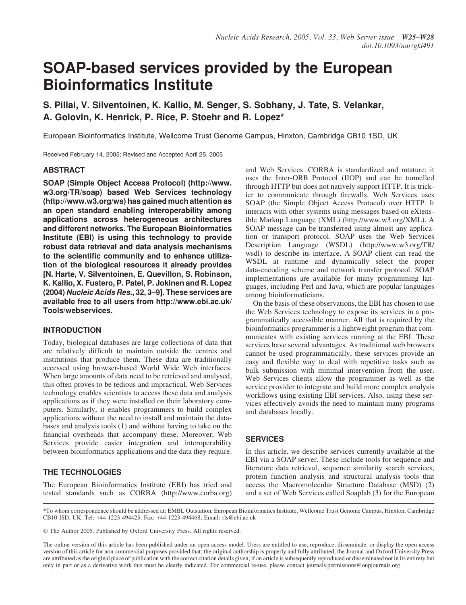# SOAP-based services provided by the European Bioinformatics Institute

S. Pillai, V. Silventoinen, K. Kallio, M. Senger, S. Sobhany, J. Tate, S. Velankar, A. Golovin, K. Henrick, P. Rice, P. Stoehr and R. Lopez\*

European Bioinformatics Institute, Wellcome Trust Genome Campus, Hinxton, Cambridge CB10 1SD, UK

Received February 14, 2005; Revised and Accepted April 25, 2005

# ABSTRACT

SOAP (Simple Object Access Protocol) [\(http://www.](http://www) w3.org/TR/soap) based Web Services technology [\(http://www.w3.org/ws\)](http://www.w3.org/ws) has gained much attention as an open standard enabling interoperability among applications across heterogeneous architectures and different networks. The European Bioinformatics Institute (EBI) is using this technology to provide robust data retrieval and data analysis mechanisms to the scientific community and to enhance utilization of the biological resources it already provides [N. Harte, V. Silventoinen, E. Quevillon, S. Robinson, K. Kallio, X. Fustero, P. Patel, P. Jokinen and R. Lopez (2004) Nucleic Acids Res., 32, 3–9]. These services are available free to all users from<http://www.ebi.ac.uk/> Tools/webservices.

## INTRODUCTION

Today, biological databases are large collections of data that are relatively difficult to maintain outside the centres and institutions that produce them. These data are traditionally accessed using browser-based World Wide Web interfaces. When large amounts of data need to be retrieved and analysed, this often proves to be tedious and impractical. Web Services technology enables scientists to access these data and analysis applications as if they were installed on their laboratory computers. Similarly, it enables programmers to build complex applications without the need to install and maintain the databases and analysis tools (1) and without having to take on the financial overheads that accompany these. Moreover, Web Services provide easier integration and interoperability between bioinformatics applications and the data they require.

## and Web Services. CORBA is standardized and mtature; it uses the Inter-ORB Protocol (IIOP) and can be tunnelled through HTTP but does not natively support HTTP. It is trickier to communicate through firewalls. Web Services uses SOAP (the Simple Object Access Protocol) over HTTP. It interacts with other systems using messages based on eXtensible Markup Language (XML) [\(http://www.w3.org/XML\).](http://www.w3.org/XML) A SOAP message can be transferred using almost any application or transport protocol. SOAP uses the Web Services Description Language (WSDL) [\(http://www.w3.org/TR/](http://www.w3.org/TR/) wsdl) to describe its interface. A SOAP client can read the WSDL at runtime and dynamically select the proper data-encoding scheme and network transfer protocol. SOAP implementations are available for many programming languages, including Perl and Java, which are popular languages among bioinformaticians. On the basis of these observations, the EBI has chosen to use

the Web Services technology to expose its services in a programmatically accessible manner. All that is required by the bioinformatics programmer is a lightweight program that communicates with existing services running at the EBI. These services have several advantages. As traditional web browsers cannot be used programmatically, these services provide an easy and flexible way to deal with repetitive tasks such as bulk submission with minimal intervention from the user. Web Services clients allow the programmer as well as the service provider to integrate and build more complex analysis workflows using existing EBI services. Also, using these services effectively avoids the need to maintain many programs and databases locally.

## **SERVICES**

In this article, we describe services currently available at the EBI via a SOAP server. These include tools for sequence and literature data retrieval, sequence similarity search services, protein function analysis and structural analysis tools that access the Macromolecular Structure Database (MSD) (2) and a set of Web Services called Soaplab (3) for the European

# THE TECHNOLOGIES

The European Bioinformatics Institute (EBI) has tried and tested standards such as CORBA [\(http://www.corba.org\)](http://www.corba.org)

\*To whom correspondence should be addressed at: EMBL Outstation, European Bioinformatics Institute, Wellcome Trust Genome Campus, Hinxton, Cambridge CB10 ISD, UK. Tel: +44 1223 494423; Fax: +44 1223 494468; Email: rls@ebi.ac.uk

The Author 2005. Published by Oxford University Press. All rights reserved.

The online version of this article has been published under an open access model. Users are entitled to use, reproduce, disseminate, or display the open access version of this article for non-commercial purposes provided that: the original authorship is properly and fully attributed; the Journal and Oxford University Press are attributed as the original place of publication with the correct citation details given; if an article is subsequently reproduced or disseminated not in its entirety but only in part or as a derivative work this must be clearly indicated. For commercial re-use, please contact journals.permissions@oupjournals.org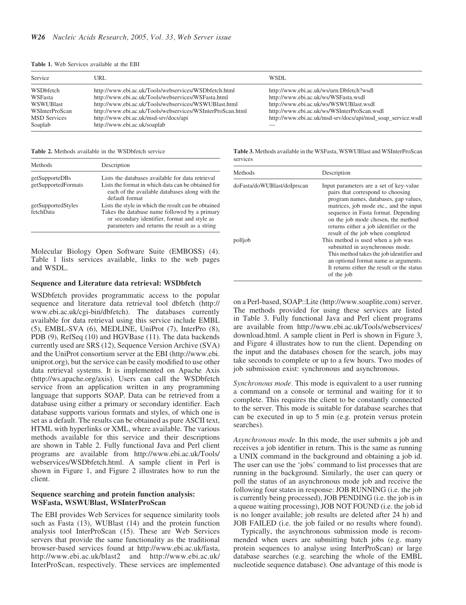Table 1. Web Services available at the EBI

| Service                                                                               | URL.                                                                                                                                                                                                                                                                                                         | WSDL.                                                                                                                                                                                                                                    |
|---------------------------------------------------------------------------------------|--------------------------------------------------------------------------------------------------------------------------------------------------------------------------------------------------------------------------------------------------------------------------------------------------------------|------------------------------------------------------------------------------------------------------------------------------------------------------------------------------------------------------------------------------------------|
| WSDbfetch<br>WSFasta<br>WSWUBlast<br>WSInterProScan<br><b>MSD</b> Services<br>Soaplab | http://www.ebi.ac.uk/Tools/webservices/WSDbfetch.html<br>http://www.ebi.ac.uk/Tools/webservices/WSFasta.html<br>http://www.ebi.ac.uk/Tools/webservices/WSWUBlast.html<br>http://www.ebi.ac.uk/Tools/webservices/WSInterProScan.html<br>http://www.ebi.ac.uk/msd-srv/docs/api<br>http://www.ebi.ac.uk/soaplab | http://www.ebi.ac.uk/ws/urn:Dbfetch?wsdl<br>http://www.ebi.ac.uk/ws/WSFasta.wsdl<br>http://www.ebi.ac.uk/ws/WSWUBlast.wsdl<br>http://www.ebi.ac.uk/ws/WSInterProScan.wsdl<br>http://www.ebi.ac.uk/msd-srv/docs/api/msd_soap_service.wsdl |

Table 2. Methods available in the WSDbfetch service

| <b>Table 3.</b> Methods available in the WSFasta, WSWUBlast and WSInterProScan |
|--------------------------------------------------------------------------------|
| services                                                                       |

| <b>Methods</b>      | Description                                                                                                                                    |
|---------------------|------------------------------------------------------------------------------------------------------------------------------------------------|
| getSupporteDBs      | Lists the databases available for data retrieval                                                                                               |
| getSupportedFormats | Lists the format in which data can be obtained for<br>each of the available databases along with the<br>default format                         |
| getSupportedStyles  | Lists the style in which the result can be obtained                                                                                            |
| fetchData           | Takes the database name followed by a primary<br>or secondary identifier, format and style as<br>parameters and returns the result as a string |

Molecular Biology Open Software Suite (EMBOSS) (4). Table 1 lists services available, links to the web pages and WSDL.

## Sequence and Literature data retrieval: WSDbfetch

WSDbfetch provides programmatic access to the popular sequence and literature data retrieval tool dbfetch [\(http://](http://) www.ebi.ac.uk/cgi-bin/dbfetch). The databases currently available for data retrieval using this service include EMBL (5), EMBL-SVA (6), MEDLINE, UniProt (7), InterPro (8), PDB (9), RefSeq (10) and HGVBase (11). The data backends currently used are SRS (12), Sequence Version Archive (SVA) and the UniProt consortium server at the EBI [\(http://www.ebi.](http://www.ebi) uniprot.org), but the service can be easily modified to use other data retrieval systems. It is implemented on Apache Axis [\(http://ws.apache.org/axis\).](http://ws.apache.org/axis) Users can call the WSDbfetch service from an application written in any programming language that supports SOAP. Data can be retrieved from a database using either a primary or secondary identifier. Each database supports various formats and styles, of which one is set as a default. The results can be obtained as pure ASCII text, HTML with hyperlinks or XML, where available. The various methods available for this service and their descriptions are shown in Table 2. Fully functional Java and Perl client programs are available from<http://www.ebi.ac.uk/Tools/> webservices/WSDbfetch.html. A sample client in Perl is shown in Figure 1, and Figure 2 illustrates how to run the client.

#### Sequence searching and protein function analysis: WSFasta, WSWUBlast, WSInterProScan

The EBI provides Web Services for sequence similarity tools such as Fasta (13), WUBlast (14) and the protein function analysis tool InterProScan (15). These are Web Services servers that provide the same functionality as the traditional browser-based services found at [http://www.ebi.ac.uk/fasta,](http://www.ebi.ac.uk/fasta) <http://www.ebi.ac.uk/blast2> and<http://www.ebi.ac.uk/> InterProScan, respectively. These services are implemented

| Methods                     | Description                                                                                                                                                                                                                                                                                                                |
|-----------------------------|----------------------------------------------------------------------------------------------------------------------------------------------------------------------------------------------------------------------------------------------------------------------------------------------------------------------------|
| doFasta/doWUBlast/doIprscan | Input parameters are a set of key-value<br>pairs that correspond to choosing<br>program names, databases, gap values,<br>matrices, job mode etc., and the input<br>sequence in Fasta format. Depending<br>on the job mode chosen, the method<br>returns either a job identifier or the<br>result of the job when completed |
| polliob                     | This method is used when a job was<br>submitted in asynchronous mode.<br>This method takes the job identifier and<br>an optional format name as arguments.<br>It returns either the result or the status<br>of the job                                                                                                     |

on a Perl-based, SOAP::Lite [\(http://www.soaplite.com\)](http://www.soaplite.com) server. The methods provided for using these services are listed in Table 3. Fully functional Java and Perl client programs are available from<http://www.ebi.ac.uk/Tools/webservices/> download.html. A sample client in Perl is shown in Figure 3, and Figure 4 illustrates how to run the client. Depending on the input and the databases chosen for the search, jobs may take seconds to complete or up to a few hours. Two modes of job submission exist: synchronous and asynchronous.

Synchronous mode. This mode is equivalent to a user running a command on a console or terminal and waiting for it to complete. This requires the client to be constantly connected to the server. This mode is suitable for database searches that can be executed in up to 5 min (e.g. protein versus protein searches).

Asynchronous mode. In this mode, the user submits a job and receives a job identifier in return. This is the same as running a UNIX command in the background and obtaining a job id. The user can use the 'jobs' command to list processes that are running in the background. Similarly, the user can query or poll the status of an asynchronous mode job and receive the following four states in response: JOB RUNNING (i.e. the job is currently being processed), JOB PENDING (i.e. the job is in a queue waiting processing), JOB NOT FOUND (i.e. the job id is no longer available; job results are deleted after 24 h) and JOB FAILED (i.e. the job failed or no results where found).

Typically, the asynchronous submission mode is recommended when users are submitting batch jobs (e.g. many protein sequences to analyse using InterProScan) or large database searches (e.g. searching the whole of the EMBL nucleotide sequence database). One advantage of this mode is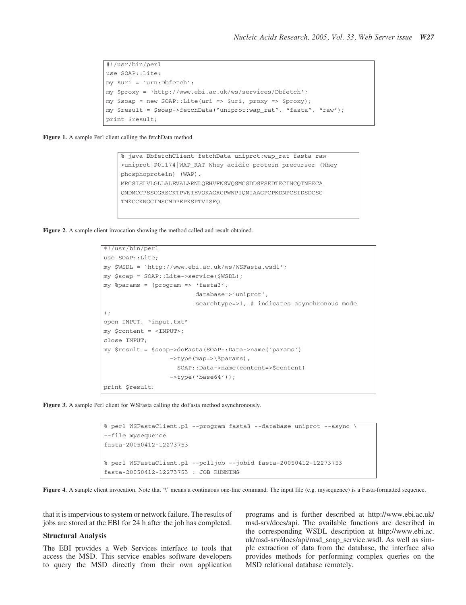```
#!/usr/bin/perl
use SOAP::Lite;
my $uri = 'urn:Dbfetch';
my $proxy = 'http://www.ebi.ac.uk/ws/services/Dbfetch';
my $soap = new SOAP::Lite(uri => $uri, proxy => $proxy);
my $result = $soap->fetchData("uniprot:wap_rat", "fasta", "raw"); 
print $result;
```
Figure 1. A sample Perl client calling the fetchData method.

% java DbfetchClient fetchData uniprot:wap\_rat fasta raw >uniprot|P01174|WAP\_RAT Whey acidic protein precursor (Whey phosphoprotein) (WAP). MRCSISLVLGLLALEVALARNLQEHVFNSVQSMCSDDSFSEDTECINCQTNEECA QNDMCCPSSCGRSCKTPVNIEVQKAGRCPWNPIQMIAAGPCPKDNPCSIDSDCSG TMKCCKNGCIMSCMDPEPKSPTVISFQ

Figure 2. A sample client invocation showing the method called and result obtained.

```
#!/usr/bin/perl
use SOAP::Lite;
my $WSDL = 'http://www.ebi.ac.uk/ws/WSFasta.wsdl';
my $soap = SOAP::Lite->service($WSDL);
my %params = (program => 'fasta3',
                           database=>'uniprot', 
                           searchtype=>1, # indicates asynchronous mode 
);
open INPUT, "input.txt"
my $content = <INPUT>;
close INPUT;
my $result = $soap->doFasta(SOAP::Data->name('params')
                   ->type(map=>\%params), 
                      SOAP::Data->name(content=>$content)
                    ->type('base64'));
print $result;
```
Figure 3. A sample Perl client for WSFasta calling the doFasta method asynchronously.

```
% perl WSFastaClient.pl --program fasta3 --database uniprot --async \ 
–-file mysequence 
fasta-20050412-12273753
% perl WSFastaClient.pl --polljob --jobid fasta-20050412-12273753 
fasta-20050412-12273753 : JOB RUNNING
```
Figure 4. A sample client invocation. Note that '\' means a continuous one-line command. The input file (e.g. mysequence) is a Fasta-formatted sequence.

that it is impervious to system or network failure. The results of jobs are stored at the EBI for 24 h after the job has completed.

#### Structural Analysis

The EBI provides a Web Services interface to tools that access the MSD. This service enables software developers to query the MSD directly from their own application programs and is further described at<http://www.ebi.ac.uk/> msd-srv/docs/api. The available functions are described in the corresponding WSDL description at [http://www.ebi.ac.](http://www.ebi.ac) uk/msd-srv/docs/api/msd\_soap\_service.wsdl. As well as simple extraction of data from the database, the interface also provides methods for performing complex queries on the MSD relational database remotely.